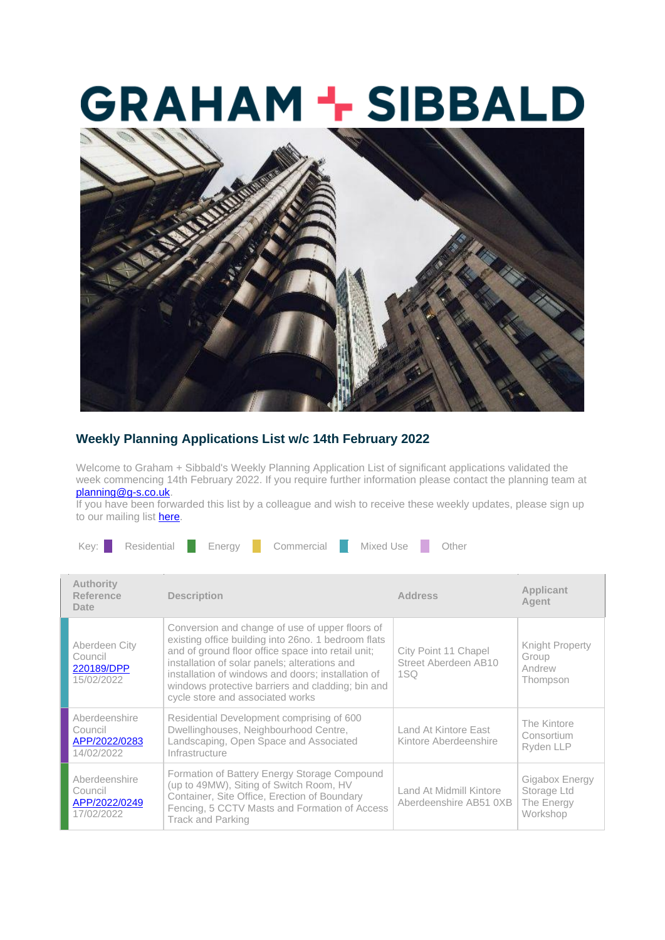## **GRAHAM + SIBBALD**



## **Weekly Planning Applications List w/c 14th February 2022**

Welcome to Graham + Sibbald's Weekly Planning Application List of significant applications validated the week commencing 14th February 2022. If you require further information please contact the planning team at [planning@g-s.co.uk.](mailto:planning@g-s.co.uk)

If you have been forwarded this list by a colleague and wish to receive these weekly updates, please sign up to our mailing list [here.](https://g-s.us9.list-manage.com/track/click?u=d27f0ec01a941ec50add9f681&id=373979a05c&e=7e1d7b13a5)

| Residential<br>Commercial<br>Mixed Use<br>Key:  <br>Other<br>Enerav |                                                                                                                                                                                                                                                                                                                                                              |                                                                 |                                                         |  |  |
|---------------------------------------------------------------------|--------------------------------------------------------------------------------------------------------------------------------------------------------------------------------------------------------------------------------------------------------------------------------------------------------------------------------------------------------------|-----------------------------------------------------------------|---------------------------------------------------------|--|--|
| <b>Authority</b><br>Reference<br>Date                               | <b>Description</b>                                                                                                                                                                                                                                                                                                                                           | <b>Address</b>                                                  | Applicant<br>Agent                                      |  |  |
| Aberdeen City<br>Council<br>220189/DPP<br>15/02/2022                | Conversion and change of use of upper floors of<br>existing office building into 26no. 1 bedroom flats<br>and of ground floor office space into retail unit;<br>installation of solar panels; alterations and<br>installation of windows and doors; installation of<br>windows protective barriers and cladding; bin and<br>cycle store and associated works | City Point 11 Chapel<br>Street Aberdeen AB10<br>1 <sub>SO</sub> | Knight Property<br>Group<br>Andrew<br>Thompson          |  |  |
| Aberdeenshire<br>Council<br>APP/2022/0283<br>14/02/2022             | Residential Development comprising of 600<br>Dwellinghouses, Neighbourhood Centre,<br>Landscaping, Open Space and Associated<br>Infrastructure                                                                                                                                                                                                               | Land At Kintore East<br>Kintore Aberdeenshire                   | The Kintore<br>Consortium<br>Ryden LLP                  |  |  |
| Aberdeenshire<br>Council<br>APP/2022/0249<br>17/02/2022             | Formation of Battery Energy Storage Compound<br>(up to 49MW), Siting of Switch Room, HV<br>Container, Site Office, Erection of Boundary<br>Fencing, 5 CCTV Masts and Formation of Access<br><b>Track and Parking</b>                                                                                                                                         | Land At Midmill Kintore<br>Aberdeenshire AB51 0XB               | Gigabox Energy<br>Storage Ltd<br>The Energy<br>Workshop |  |  |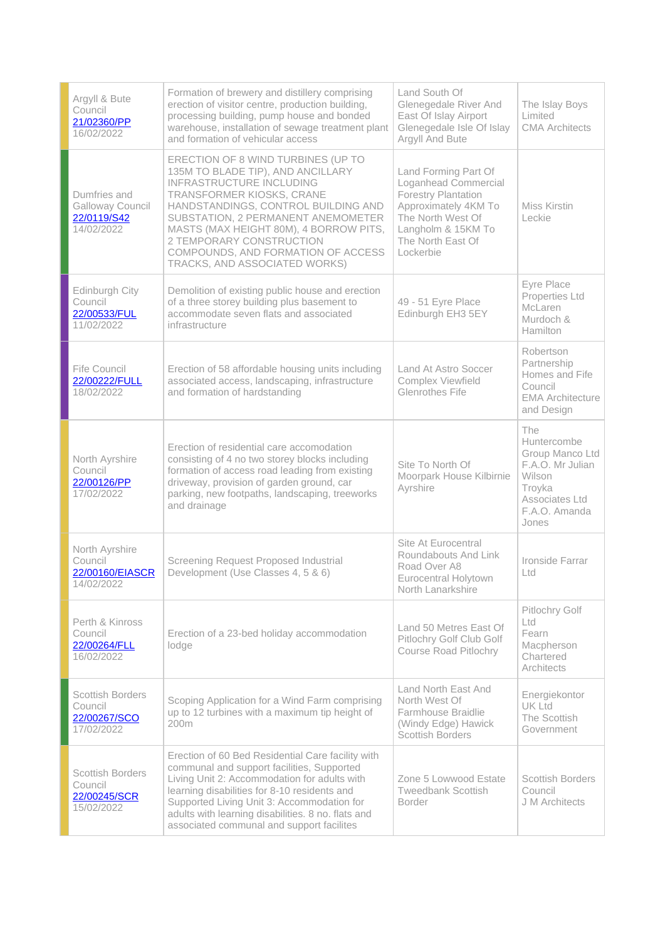| Argyll & Bute<br>Council<br>21/02360/PP<br>16/02/2022            | Formation of brewery and distillery comprising<br>erection of visitor centre, production building,<br>processing building, pump house and bonded<br>warehouse, installation of sewage treatment plant<br>and formation of vehicular access                                                                                                                        | Land South Of<br>Glenegedale River And<br>East Of Islay Airport<br>Glenegedale Isle Of Islay<br>Argyll And Bute                                                                 | The Islay Boys<br>Limited<br><b>CMA Architects</b>                                                                        |
|------------------------------------------------------------------|-------------------------------------------------------------------------------------------------------------------------------------------------------------------------------------------------------------------------------------------------------------------------------------------------------------------------------------------------------------------|---------------------------------------------------------------------------------------------------------------------------------------------------------------------------------|---------------------------------------------------------------------------------------------------------------------------|
| Dumfries and<br>Galloway Council<br>22/0119/S42<br>14/02/2022    | ERECTION OF 8 WIND TURBINES (UP TO<br>135M TO BLADE TIP), AND ANCILLARY<br><b>INFRASTRUCTURE INCLUDING</b><br>TRANSFORMER KIOSKS, CRANE<br>HANDSTANDINGS, CONTROL BUILDING AND<br>SUBSTATION, 2 PERMANENT ANEMOMETER<br>MASTS (MAX HEIGHT 80M), 4 BORROW PITS,<br>2 TEMPORARY CONSTRUCTION<br>COMPOUNDS, AND FORMATION OF ACCESS<br>TRACKS, AND ASSOCIATED WORKS) | Land Forming Part Of<br>Loganhead Commercial<br><b>Forestry Plantation</b><br>Approximately 4KM To<br>The North West Of<br>Langholm & 15KM To<br>The North East Of<br>Lockerbie | Miss Kirstin<br>Leckie                                                                                                    |
| Edinburgh City<br>Council<br>22/00533/FUL<br>11/02/2022          | Demolition of existing public house and erection<br>of a three storey building plus basement to<br>accommodate seven flats and associated<br>infrastructure                                                                                                                                                                                                       | 49 - 51 Eyre Place<br>Edinburgh EH3 5EY                                                                                                                                         | <b>Eyre Place</b><br>Properties Ltd<br>McLaren<br>Murdoch &<br><b>Hamilton</b>                                            |
| Fife Council<br>22/00222/FULL<br>18/02/2022                      | Erection of 58 affordable housing units including<br>associated access, landscaping, infrastructure<br>and formation of hardstanding                                                                                                                                                                                                                              | Land At Astro Soccer<br><b>Complex Viewfield</b><br>Glenrothes Fife                                                                                                             | Robertson<br>Partnership<br>Homes and Fife<br>Council<br><b>EMA Architecture</b><br>and Design                            |
| North Ayrshire<br>Council<br>22/00126/PP<br>17/02/2022           | Erection of residential care accomodation<br>consisting of 4 no two storey blocks including<br>formation of access road leading from existing<br>driveway, provision of garden ground, car<br>parking, new footpaths, landscaping, treeworks<br>and drainage                                                                                                      | Site To North Of<br>Moorpark House Kilbirnie<br>Ayrshire                                                                                                                        | The<br>Huntercombe<br>Group Manco Ltd<br>F.A.O. Mr Julian<br>Wilson<br>Troyka<br>Associates Ltd<br>F.A.O. Amanda<br>Jones |
| North Ayrshire<br>Council<br>22/00160/EIASCR<br>14/02/2022       | Screening Request Proposed Industrial<br>Development (Use Classes 4, 5 & 6)                                                                                                                                                                                                                                                                                       | Site At Eurocentral<br>Roundabouts And Link<br>Road Over A8<br><b>Eurocentral Holytown</b><br>North Lanarkshire                                                                 | Ironside Farrar<br>Ltd                                                                                                    |
| Perth & Kinross<br>Council<br>22/00264/FLL<br>16/02/2022         | Erection of a 23-bed holiday accommodation<br>lodge                                                                                                                                                                                                                                                                                                               | Land 50 Metres East Of<br>Pitlochry Golf Club Golf<br><b>Course Road Pitlochry</b>                                                                                              | Pitlochry Golf<br>Ltd<br>Fearn<br>Macpherson<br>Chartered<br>Architects                                                   |
| <b>Scottish Borders</b><br>Council<br>22/00267/SCO<br>17/02/2022 | Scoping Application for a Wind Farm comprising<br>up to 12 turbines with a maximum tip height of<br>200 <sub>m</sub>                                                                                                                                                                                                                                              | Land North East And<br>North West Of<br>Farmhouse Braidlie<br>(Windy Edge) Hawick<br><b>Scottish Borders</b>                                                                    | Energiekontor<br>UK Ltd<br>The Scottish<br>Government                                                                     |
| <b>Scottish Borders</b><br>Council<br>22/00245/SCR<br>15/02/2022 | Erection of 60 Bed Residential Care facility with<br>communal and support facilities, Supported<br>Living Unit 2: Accommodation for adults with<br>learning disabilities for 8-10 residents and<br>Supported Living Unit 3: Accommodation for<br>adults with learning disabilities. 8 no. flats and<br>associated communal and support facilites                  | Zone 5 Lowwood Estate<br><b>Tweedbank Scottish</b><br><b>Border</b>                                                                                                             | <b>Scottish Borders</b><br>Council<br>J M Architects                                                                      |